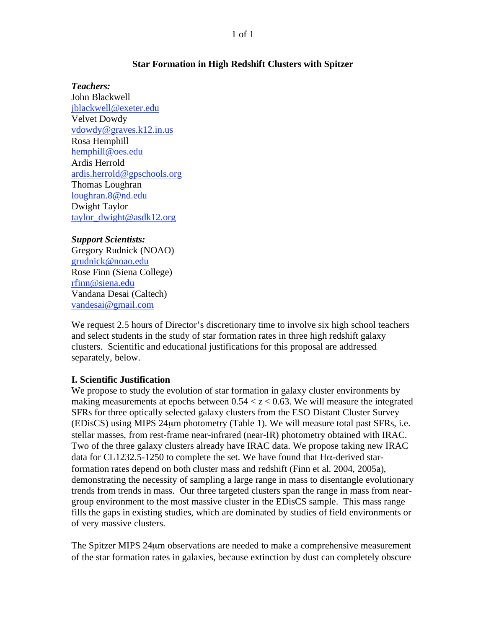#### 1 of 1

#### **Star Formation in High Redshift Clusters with Spitzer**

*Teachers:*  John Blackwell jblackwell@exeter.edu Velvet Dowdy vdowdy@graves.k12.in.us Rosa Hemphill hemphill@oes.edu Ardis Herrold ardis.herrold@gpschools.org Thomas Loughran loughran.8@nd.edu Dwight Taylor taylor\_dwight@asdk12.org

*Support Scientists:*  Gregory Rudnick (NOAO) grudnick@noao.edu Rose Finn (Siena College) rfinn@siena.edu Vandana Desai (Caltech) vandesai@gmail.com

We request 2.5 hours of Director's discretionary time to involve six high school teachers and select students in the study of star formation rates in three high redshift galaxy clusters. Scientific and educational justifications for this proposal are addressed separately, below.

# **I. Scientific Justification**

We propose to study the evolution of star formation in galaxy cluster environments by making measurements at epochs between  $0.54 < z < 0.63$ . We will measure the integrated SFRs for three optically selected galaxy clusters from the ESO Distant Cluster Survey (EDisCS) using MIPS 24μm photometry (Table 1). We will measure total past SFRs, i.e. stellar masses, from rest-frame near-infrared (near-IR) photometry obtained with IRAC. Two of the three galaxy clusters already have IRAC data. We propose taking new IRAC data for CL1232.5-1250 to complete the set. We have found that  $H\alpha$ -derived starformation rates depend on both cluster mass and redshift (Finn et al. 2004, 2005a), demonstrating the necessity of sampling a large range in mass to disentangle evolutionary trends from trends in mass. Our three targeted clusters span the range in mass from neargroup environment to the most massive cluster in the EDisCS sample. This mass range fills the gaps in existing studies, which are dominated by studies of field environments or of very massive clusters.

The Spitzer MIPS 24μm observations are needed to make a comprehensive measurement of the star formation rates in galaxies, because extinction by dust can completely obscure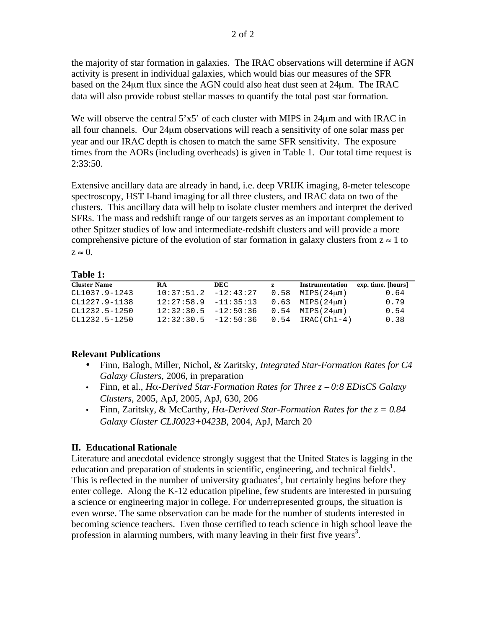the majority of star formation in galaxies. The IRAC observations will determine if AGN activity is present in individual galaxies, which would bias our measures of the SFR based on the 24μm flux since the AGN could also heat dust seen at 24μm. The IRAC data will also provide robust stellar masses to quantify the total past star formation.

We will observe the central  $5'x5'$  of each cluster with MIPS in 24 $\mu$ m and with IRAC in all four channels. Our 24μm observations will reach a sensitivity of one solar mass per year and our IRAC depth is chosen to match the same SFR sensitivity. The exposure times from the AORs (including overheads) is given in Table 1. Our total time request is 2:33:50.

Extensive ancillary data are already in hand, i.e. deep VRIJK imaging, 8-meter telescope spectroscopy, HST I-band imaging for all three clusters, and IRAC data on two of the clusters. This ancillary data will help to isolate cluster members and interpret the derived SFRs. The mass and redshift range of our targets serves as an important complement to other Spitzer studies of low and intermediate-redshift clusters and will provide a more comprehensive picture of the evolution of star formation in galaxy clusters from  $z \approx 1$  to  $z \approx 0$ .

### **Table 1:**

| <b>Cluster Name</b> | <b>RA</b>                | DEC | z | Instrumentation                           | exp. time. [hours] |
|---------------------|--------------------------|-----|---|-------------------------------------------|--------------------|
| CL1037.9-1243       | $10:37:51.2$ $-12:43:27$ |     |   | $0.58$ MIPS( $24 \mu m$ )                 | 0.64               |
| CL1227.9-1138       | $12:27:58.9$ $-11:35:13$ |     |   | $0.63$ MIPS $(24 \mu m)$                  | 0.79               |
| CL1232.5-1250       | $12:32:30.5$ $-12:50:36$ |     |   | $0.54$ MIPS( $24 \mu m$ )                 | 0.54               |
| CL1232.5-1250       |                          |     |   | $12:32:30.5$ $-12:50:36$ 0.54 IRAC(Ch1-4) | 0.38               |

#### **Relevant Publications**

- Finn, Balogh, Miller, Nichol, & Zaritsky*, Integrated Star-Formation Rates for C4 Galaxy Clusters,* 2006, in preparation
- Finn, et al., *H*α-*Derived Star-Formation Rates for Three*  $z \sim 0.8$  *EDisCS Galaxy Clusters*, 2005, ApJ, 2005, ApJ, 630, 206
- Finn, Zaritsky, & McCarthy,  $H\alpha$ -Derived Star-Formation Rates for the  $z = 0.84$ *Galaxy Cluster CLJ0023+0423B*, 2004, ApJ, March 20

# **II. Educational Rationale**

Literature and anecdotal evidence strongly suggest that the United States is lagging in the education and preparation of students in scientific, engineering, and technical fields<sup>1</sup>. This is reflected in the number of university graduates<sup>2</sup>, but certainly begins before they enter college. Along the K-12 education pipeline, few students are interested in pursuing a science or engineering major in college. For underrepresented groups, the situation is even worse. The same observation can be made for the number of students interested in becoming science teachers. Even those certified to teach science in high school leave the profession in alarming numbers, with many leaving in their first five years<sup>3</sup>.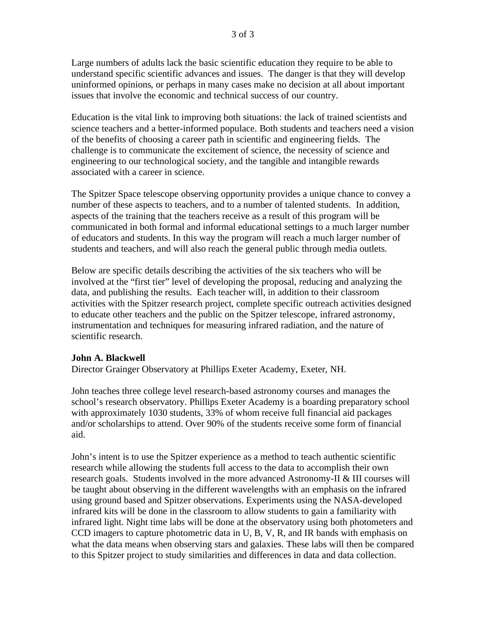Large numbers of adults lack the basic scientific education they require to be able to understand specific scientific advances and issues. The danger is that they will develop uninformed opinions, or perhaps in many cases make no decision at all about important issues that involve the economic and technical success of our country.

Education is the vital link to improving both situations: the lack of trained scientists and science teachers and a better-informed populace. Both students and teachers need a vision of the benefits of choosing a career path in scientific and engineering fields. The challenge is to communicate the excitement of science, the necessity of science and engineering to our technological society, and the tangible and intangible rewards associated with a career in science.

The Spitzer Space telescope observing opportunity provides a unique chance to convey a number of these aspects to teachers, and to a number of talented students. In addition, aspects of the training that the teachers receive as a result of this program will be communicated in both formal and informal educational settings to a much larger number of educators and students. In this way the program will reach a much larger number of students and teachers, and will also reach the general public through media outlets.

Below are specific details describing the activities of the six teachers who will be involved at the "first tier" level of developing the proposal, reducing and analyzing the data, and publishing the results. Each teacher will, in addition to their classroom activities with the Spitzer research project, complete specific outreach activities designed to educate other teachers and the public on the Spitzer telescope, infrared astronomy, instrumentation and techniques for measuring infrared radiation, and the nature of scientific research.

#### **John A. Blackwell**

Director Grainger Observatory at Phillips Exeter Academy, Exeter, NH.

John teaches three college level research-based astronomy courses and manages the school's research observatory. Phillips Exeter Academy is a boarding preparatory school with approximately 1030 students, 33% of whom receive full financial aid packages and/or scholarships to attend. Over 90% of the students receive some form of financial aid.

John's intent is to use the Spitzer experience as a method to teach authentic scientific research while allowing the students full access to the data to accomplish their own research goals. Students involved in the more advanced Astronomy-II & III courses will be taught about observing in the different wavelengths with an emphasis on the infrared using ground based and Spitzer observations. Experiments using the NASA-developed infrared kits will be done in the classroom to allow students to gain a familiarity with infrared light. Night time labs will be done at the observatory using both photometers and CCD imagers to capture photometric data in U, B, V, R, and IR bands with emphasis on what the data means when observing stars and galaxies. These labs will then be compared to this Spitzer project to study similarities and differences in data and data collection.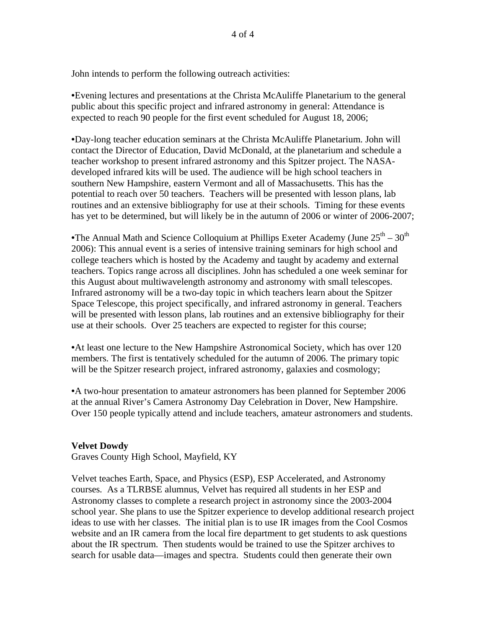John intends to perform the following outreach activities:

•Evening lectures and presentations at the Christa McAuliffe Planetarium to the general public about this specific project and infrared astronomy in general: Attendance is expected to reach 90 people for the first event scheduled for August 18, 2006;

•Day-long teacher education seminars at the Christa McAuliffe Planetarium. John will contact the Director of Education, David McDonald, at the planetarium and schedule a teacher workshop to present infrared astronomy and this Spitzer project. The NASAdeveloped infrared kits will be used. The audience will be high school teachers in southern New Hampshire, eastern Vermont and all of Massachusetts. This has the potential to reach over 50 teachers. Teachers will be presented with lesson plans, lab routines and an extensive bibliography for use at their schools. Timing for these events has yet to be determined, but will likely be in the autumn of 2006 or winter of 2006-2007;

•The Annual Math and Science Colloquium at Phillips Exeter Academy (June  $25<sup>th</sup> - 30<sup>th</sup>$ 2006): This annual event is a series of intensive training seminars for high school and college teachers which is hosted by the Academy and taught by academy and external teachers. Topics range across all disciplines. John has scheduled a one week seminar for this August about multiwavelength astronomy and astronomy with small telescopes. Infrared astronomy will be a two-day topic in which teachers learn about the Spitzer Space Telescope, this project specifically, and infrared astronomy in general. Teachers will be presented with lesson plans, lab routines and an extensive bibliography for their use at their schools. Over 25 teachers are expected to register for this course;

•At least one lecture to the New Hampshire Astronomical Society, which has over 120 members. The first is tentatively scheduled for the autumn of 2006. The primary topic will be the Spitzer research project, infrared astronomy, galaxies and cosmology;

•A two-hour presentation to amateur astronomers has been planned for September 2006 at the annual River's Camera Astronomy Day Celebration in Dover, New Hampshire. Over 150 people typically attend and include teachers, amateur astronomers and students.

# **Velvet Dowdy**

Graves County High School, Mayfield, KY

Velvet teaches Earth, Space, and Physics (ESP), ESP Accelerated, and Astronomy courses. As a TLRBSE alumnus, Velvet has required all students in her ESP and Astronomy classes to complete a research project in astronomy since the 2003-2004 school year. She plans to use the Spitzer experience to develop additional research project ideas to use with her classes. The initial plan is to use IR images from the Cool Cosmos website and an IR camera from the local fire department to get students to ask questions about the IR spectrum. Then students would be trained to use the Spitzer archives to search for usable data—images and spectra. Students could then generate their own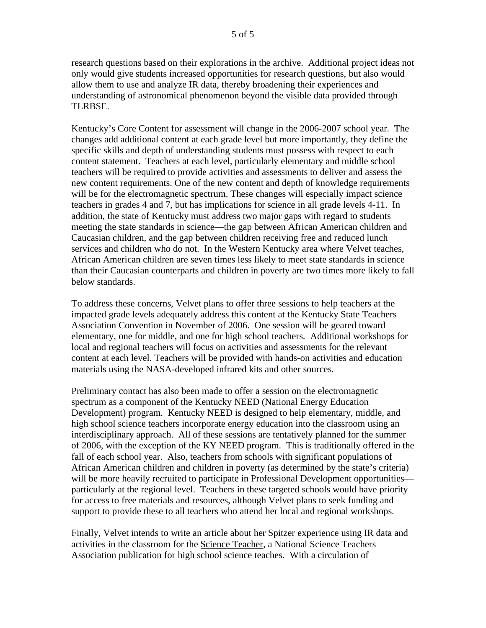research questions based on their explorations in the archive. Additional project ideas not only would give students increased opportunities for research questions, but also would allow them to use and analyze IR data, thereby broadening their experiences and understanding of astronomical phenomenon beyond the visible data provided through TLRBSE.

Kentucky's Core Content for assessment will change in the 2006-2007 school year. The changes add additional content at each grade level but more importantly, they define the specific skills and depth of understanding students must possess with respect to each content statement. Teachers at each level, particularly elementary and middle school teachers will be required to provide activities and assessments to deliver and assess the new content requirements. One of the new content and depth of knowledge requirements will be for the electromagnetic spectrum. These changes will especially impact science teachers in grades 4 and 7, but has implications for science in all grade levels 4-11. In addition, the state of Kentucky must address two major gaps with regard to students meeting the state standards in science—the gap between African American children and Caucasian children, and the gap between children receiving free and reduced lunch services and children who do not. In the Western Kentucky area where Velvet teaches, African American children are seven times less likely to meet state standards in science than their Caucasian counterparts and children in poverty are two times more likely to fall below standards.

To address these concerns, Velvet plans to offer three sessions to help teachers at the impacted grade levels adequately address this content at the Kentucky State Teachers Association Convention in November of 2006. One session will be geared toward elementary, one for middle, and one for high school teachers. Additional workshops for local and regional teachers will focus on activities and assessments for the relevant content at each level. Teachers will be provided with hands-on activities and education materials using the NASA-developed infrared kits and other sources.

Preliminary contact has also been made to offer a session on the electromagnetic spectrum as a component of the Kentucky NEED (National Energy Education Development) program. Kentucky NEED is designed to help elementary, middle, and high school science teachers incorporate energy education into the classroom using an interdisciplinary approach. All of these sessions are tentatively planned for the summer of 2006, with the exception of the KY NEED program. This is traditionally offered in the fall of each school year. Also, teachers from schools with significant populations of African American children and children in poverty (as determined by the state's criteria) will be more heavily recruited to participate in Professional Development opportunities particularly at the regional level. Teachers in these targeted schools would have priority for access to free materials and resources, although Velvet plans to seek funding and support to provide these to all teachers who attend her local and regional workshops.

Finally, Velvet intends to write an article about her Spitzer experience using IR data and activities in the classroom for the Science Teacher, a National Science Teachers Association publication for high school science teaches. With a circulation of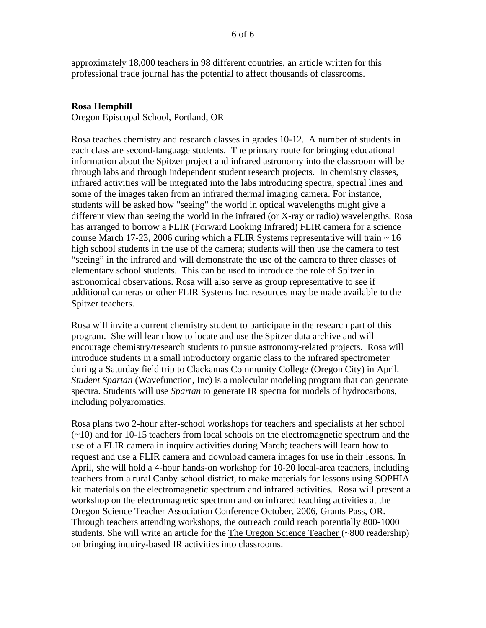approximately 18,000 teachers in 98 different countries, an article written for this professional trade journal has the potential to affect thousands of classrooms.

# **Rosa Hemphill**

Oregon Episcopal School, Portland, OR

Rosa teaches chemistry and research classes in grades 10-12. A number of students in each class are second-language students. The primary route for bringing educational information about the Spitzer project and infrared astronomy into the classroom will be through labs and through independent student research projects. In chemistry classes, infrared activities will be integrated into the labs introducing spectra, spectral lines and some of the images taken from an infrared thermal imaging camera. For instance, students will be asked how "seeing" the world in optical wavelengths might give a different view than seeing the world in the infrared (or X-ray or radio) wavelengths. Rosa has arranged to borrow a FLIR (Forward Looking Infrared) FLIR camera for a science course March 17-23, 2006 during which a FLIR Systems representative will train  $\sim 16$ high school students in the use of the camera; students will then use the camera to test "seeing" in the infrared and will demonstrate the use of the camera to three classes of elementary school students. This can be used to introduce the role of Spitzer in astronomical observations. Rosa will also serve as group representative to see if additional cameras or other FLIR Systems Inc. resources may be made available to the Spitzer teachers.

Rosa will invite a current chemistry student to participate in the research part of this program. She will learn how to locate and use the Spitzer data archive and will encourage chemistry/research students to pursue astronomy-related projects. Rosa will introduce students in a small introductory organic class to the infrared spectrometer during a Saturday field trip to Clackamas Community College (Oregon City) in April. *Student Spartan* (Wavefunction, Inc) is a molecular modeling program that can generate spectra. Students will use *Spartan* to generate IR spectra for models of hydrocarbons, including polyaromatics.

Rosa plans two 2-hour after-school workshops for teachers and specialists at her school (~10) and for 10-15 teachers from local schools on the electromagnetic spectrum and the use of a FLIR camera in inquiry activities during March; teachers will learn how to request and use a FLIR camera and download camera images for use in their lessons. In April, she will hold a 4-hour hands-on workshop for 10-20 local-area teachers, including teachers from a rural Canby school district, to make materials for lessons using SOPHIA kit materials on the electromagnetic spectrum and infrared activities. Rosa will present a workshop on the electromagnetic spectrum and on infrared teaching activities at the Oregon Science Teacher Association Conference October, 2006, Grants Pass, OR. Through teachers attending workshops, the outreach could reach potentially 800-1000 students. She will write an article for the The Oregon Science Teacher (~800 readership) on bringing inquiry-based IR activities into classrooms.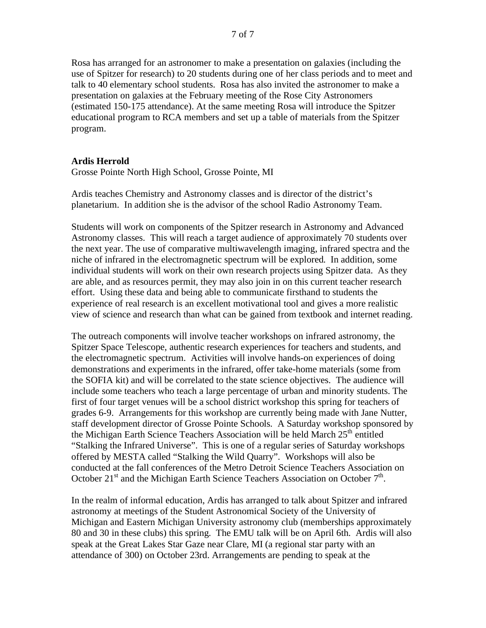Rosa has arranged for an astronomer to make a presentation on galaxies (including the use of Spitzer for research) to 20 students during one of her class periods and to meet and talk to 40 elementary school students. Rosa has also invited the astronomer to make a presentation on galaxies at the February meeting of the Rose City Astronomers (estimated 150-175 attendance). At the same meeting Rosa will introduce the Spitzer educational program to RCA members and set up a table of materials from the Spitzer program.

#### **Ardis Herrold**

Grosse Pointe North High School, Grosse Pointe, MI

Ardis teaches Chemistry and Astronomy classes and is director of the district's planetarium. In addition she is the advisor of the school Radio Astronomy Team.

Students will work on components of the Spitzer research in Astronomy and Advanced Astronomy classes. This will reach a target audience of approximately 70 students over the next year. The use of comparative multiwavelength imaging, infrared spectra and the niche of infrared in the electromagnetic spectrum will be explored. In addition, some individual students will work on their own research projects using Spitzer data. As they are able, and as resources permit, they may also join in on this current teacher research effort. Using these data and being able to communicate firsthand to students the experience of real research is an excellent motivational tool and gives a more realistic view of science and research than what can be gained from textbook and internet reading.

The outreach components will involve teacher workshops on infrared astronomy, the Spitzer Space Telescope, authentic research experiences for teachers and students, and the electromagnetic spectrum. Activities will involve hands-on experiences of doing demonstrations and experiments in the infrared, offer take-home materials (some from the SOFIA kit) and will be correlated to the state science objectives. The audience will include some teachers who teach a large percentage of urban and minority students. The first of four target venues will be a school district workshop this spring for teachers of grades 6-9. Arrangements for this workshop are currently being made with Jane Nutter, staff development director of Grosse Pointe Schools. A Saturday workshop sponsored by the Michigan Earth Science Teachers Association will be held March  $25<sup>th</sup>$  entitled "Stalking the Infrared Universe". This is one of a regular series of Saturday workshops offered by MESTA called "Stalking the Wild Quarry". Workshops will also be conducted at the fall conferences of the Metro Detroit Science Teachers Association on October 21<sup>st</sup> and the Michigan Earth Science Teachers Association on October  $7<sup>th</sup>$ .

In the realm of informal education, Ardis has arranged to talk about Spitzer and infrared astronomy at meetings of the Student Astronomical Society of the University of Michigan and Eastern Michigan University astronomy club (memberships approximately 80 and 30 in these clubs) this spring. The EMU talk will be on April 6th. Ardis will also speak at the Great Lakes Star Gaze near Clare, MI (a regional star party with an attendance of 300) on October 23rd. Arrangements are pending to speak at the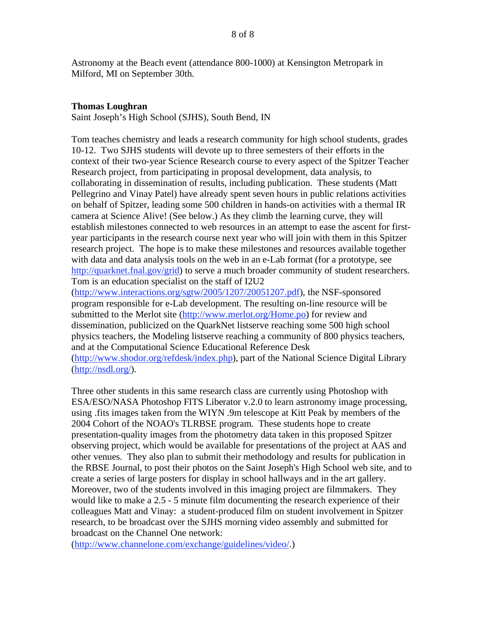Astronomy at the Beach event (attendance 800-1000) at Kensington Metropark in Milford, MI on September 30th.

### **Thomas Loughran**

Saint Joseph's High School (SJHS), South Bend, IN

Tom teaches chemistry and leads a research community for high school students, grades 10-12. Two SJHS students will devote up to three semesters of their efforts in the context of their two-year Science Research course to every aspect of the Spitzer Teacher Research project, from participating in proposal development, data analysis, to collaborating in dissemination of results, including publication. These students (Matt Pellegrino and Vinay Patel) have already spent seven hours in public relations activities on behalf of Spitzer, leading some 500 children in hands-on activities with a thermal IR camera at Science Alive! (See below.) As they climb the learning curve, they will establish milestones connected to web resources in an attempt to ease the ascent for firstyear participants in the research course next year who will join with them in this Spitzer research project. The hope is to make these milestones and resources available together with data and data analysis tools on the web in an e-Lab format (for a prototype, see http://quarknet.fnal.gov/grid) to serve a much broader community of student researchers. Tom is an education specialist on the staff of I2U2

(http://www.interactions.org/sgtw/2005/1207/20051207.pdf), the NSF-sponsored program responsible for e-Lab development. The resulting on-line resource will be submitted to the Merlot site (http://www.merlot.org/Home.po) for review and dissemination, publicized on the QuarkNet listserve reaching some 500 high school physics teachers, the Modeling listserve reaching a community of 800 physics teachers, and at the Computational Science Educational Reference Desk (http://www.shodor.org/refdesk/index.php), part of the National Science Digital Library (http://nsdl.org/).

Three other students in this same research class are currently using Photoshop with ESA/ESO/NASA Photoshop FITS Liberator v.2.0 to learn astronomy image processing, using .fits images taken from the WIYN .9m telescope at Kitt Peak by members of the 2004 Cohort of the NOAO's TLRBSE program. These students hope to create presentation-quality images from the photometry data taken in this proposed Spitzer observing project, which would be available for presentations of the project at AAS and other venues. They also plan to submit their methodology and results for publication in the RBSE Journal, to post their photos on the Saint Joseph's High School web site, and to create a series of large posters for display in school hallways and in the art gallery. Moreover, two of the students involved in this imaging project are filmmakers. They would like to make a 2.5 - 5 minute film documenting the research experience of their colleagues Matt and Vinay: a student-produced film on student involvement in Spitzer research, to be broadcast over the SJHS morning video assembly and submitted for broadcast on the Channel One network:

(http://www.channelone.com/exchange/guidelines/video/.)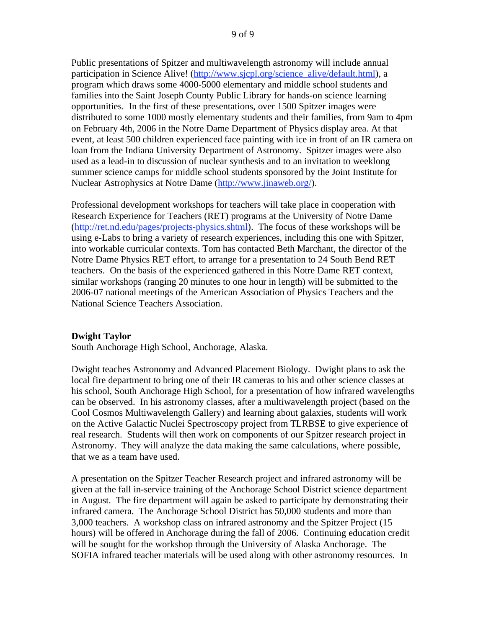Public presentations of Spitzer and multiwavelength astronomy will include annual participation in Science Alive! (http://www.sjcpl.org/science\_alive/default.html), a program which draws some 4000-5000 elementary and middle school students and families into the Saint Joseph County Public Library for hands-on science learning opportunities. In the first of these presentations, over 1500 Spitzer images were distributed to some 1000 mostly elementary students and their families, from 9am to 4pm on February 4th, 2006 in the Notre Dame Department of Physics display area. At that event, at least 500 children experienced face painting with ice in front of an IR camera on loan from the Indiana University Department of Astronomy. Spitzer images were also used as a lead-in to discussion of nuclear synthesis and to an invitation to weeklong summer science camps for middle school students sponsored by the Joint Institute for Nuclear Astrophysics at Notre Dame (http://www.jinaweb.org/).

Professional development workshops for teachers will take place in cooperation with Research Experience for Teachers (RET) programs at the University of Notre Dame (http://ret.nd.edu/pages/projects-physics.shtml). The focus of these workshops will be using e-Labs to bring a variety of research experiences, including this one with Spitzer, into workable curricular contexts. Tom has contacted Beth Marchant, the director of the Notre Dame Physics RET effort, to arrange for a presentation to 24 South Bend RET teachers. On the basis of the experienced gathered in this Notre Dame RET context, similar workshops (ranging 20 minutes to one hour in length) will be submitted to the 2006-07 national meetings of the American Association of Physics Teachers and the National Science Teachers Association.

# **Dwight Taylor**

South Anchorage High School, Anchorage, Alaska.

Dwight teaches Astronomy and Advanced Placement Biology. Dwight plans to ask the local fire department to bring one of their IR cameras to his and other science classes at his school, South Anchorage High School, for a presentation of how infrared wavelengths can be observed. In his astronomy classes, after a multiwavelength project (based on the Cool Cosmos Multiwavelength Gallery) and learning about galaxies, students will work on the Active Galactic Nuclei Spectroscopy project from TLRBSE to give experience of real research. Students will then work on components of our Spitzer research project in Astronomy. They will analyze the data making the same calculations, where possible, that we as a team have used.

A presentation on the Spitzer Teacher Research project and infrared astronomy will be given at the fall in-service training of the Anchorage School District science department in August. The fire department will again be asked to participate by demonstrating their infrared camera. The Anchorage School District has 50,000 students and more than 3,000 teachers. A workshop class on infrared astronomy and the Spitzer Project (15 hours) will be offered in Anchorage during the fall of 2006. Continuing education credit will be sought for the workshop through the University of Alaska Anchorage. The SOFIA infrared teacher materials will be used along with other astronomy resources. In